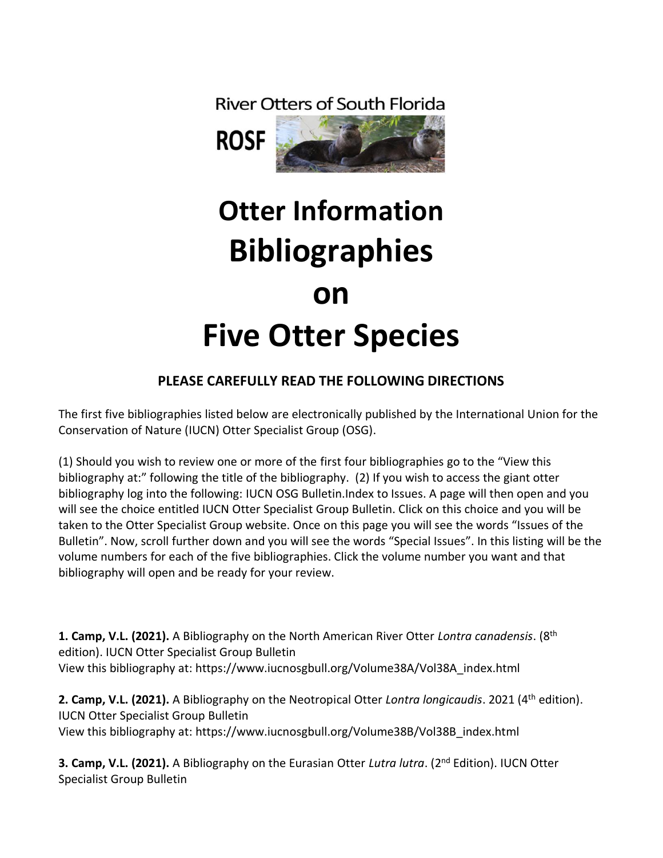**River Otters of South Florida** 



## **Otter Information Bibliographies on Five Otter Species**

## **PLEASE CAREFULLY READ THE FOLLOWING DIRECTIONS**

The first five bibliographies listed below are electronically published by the International Union for the Conservation of Nature (IUCN) Otter Specialist Group (OSG).

(1) Should you wish to review one or more of the first four bibliographies go to the "View this bibliography at:" following the title of the bibliography. (2) If you wish to access the giant otter bibliography log into the following: IUCN OSG Bulletin.Index to Issues. A page will then open and you will see the choice entitled IUCN Otter Specialist Group Bulletin. Click on this choice and you will be taken to the Otter Specialist Group website. Once on this page you will see the words "Issues of the Bulletin". Now, scroll further down and you will see the words "Special Issues". In this listing will be the volume numbers for each of the five bibliographies. Click the volume number you want and that bibliography will open and be ready for your review.

**1. Camp, V.L. (2021).** A Bibliography on the North American River Otter *Lontra canadensis*. (8th edition). IUCN Otter Specialist Group Bulletin View this bibliography at: https://www.iucnosgbull.org/Volume38A/Vol38A\_index.html

**2. Camp, V.L. (2021).** A Bibliography on the Neotropical Otter *Lontra longicaudis*. 2021 (4th edition). IUCN Otter Specialist Group Bulletin View this bibliography at: https://www.iucnosgbull.org/Volume38B/Vol38B\_index.html

**3. Camp, V.L. (2021).** A Bibliography on the Eurasian Otter *Lutra lutra*. (2nd Edition). IUCN Otter Specialist Group Bulletin